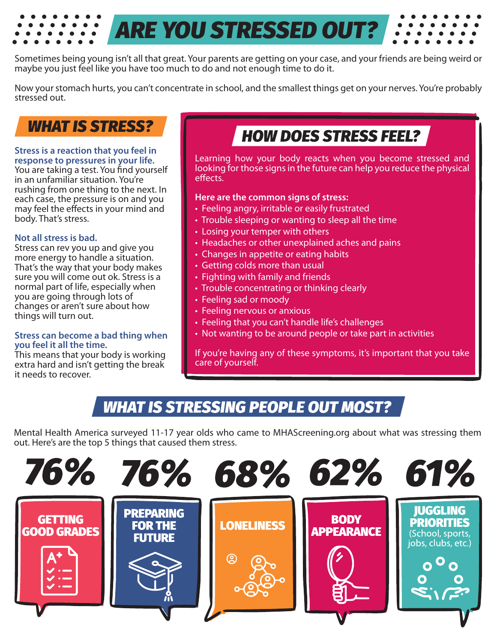Sometimes being young isn't all that great. Your parents are getting on your case, and your friends are being weird or maybe you just feel like you have too much to do and not enough time to do it.

*ARE YOU STRESSED OUT?*

Now your stomach hurts, you can't concentrate in school, and the smallest things get on your nerves. You're probably stressed out.

## **WHAT IS STRESS?**

#### **Stress is a reaction that you feel in response to pressures in your life.**

You are taking a test. You find yourself in an unfamiliar situation. You're rushing from one thing to the next. In each case, the pressure is on and you may feel the effects in your mind and body. That's stress.

### **Not all stress is bad.**

Stress can rev you up and give you more energy to handle a situation. That's the way that your body makes sure you will come out ok. Stress is a normal part of life, especially when you are going through lots of changes or aren't sure about how things will turn out.

#### **Stress can become a bad thing when you feel it all the time.**

This means that your body is working extra hard and isn't getting the break it needs to recover.

## **HOW DOES STRESS FEEL?**

Learning how your body reacts when you become stressed and looking for those signs in the future can help you reduce the physical effects.

### **Here are the common signs of stress:**

- Feeling angry, irritable or easily frustrated
- Trouble sleeping or wanting to sleep all the time
- Losing your temper with others
- Headaches or other unexplained aches and pains
- Changes in appetite or eating habits
- Getting colds more than usual
- Fighting with family and friends
- Trouble concentrating or thinking clearly
- Feeling sad or moody
- Feeling nervous or anxious
- Feeling that you can't handle life's challenges
- Not wanting to be around people or take part in activities

If you're having any of these symptoms, it's important that you take care of yourself.

## **WHAT IS STRESSING PEOPLE OUT MOST?**

Mental Health America surveyed 11-17 year olds who came to MHAScreening.org about what was stressing them out. Here's are the top 5 things that caused them stress.

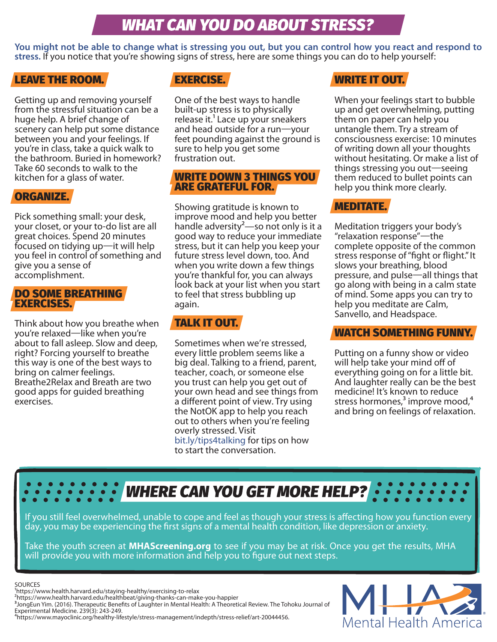## **WHAT CAN YOU DO ABOUT STRESS?**

**You might not be able to change what is stressing you out, but you can control how you react and respond to stress.** If you notice that you're showing signs of stress, here are some things you can do to help yourself:

### LEAVE THE ROOM.

Getting up and removing yourself from the stressful situation can be a huge help. A brief change of scenery can help put some distance between you and your feelings. If you're in class, take a quick walk to the bathroom. Buried in homework? Take 60 seconds to walk to the kitchen for a glass of water.

### ORGANIZE.

Pick something small: your desk, your closet, or your to-do list are all great choices. Spend 20 minutes focused on tidying up—it will help you feel in control of something and give you a sense of accomplishment.

### DO SOME BREATHING EXERCISES.

Think about how you breathe when you're relaxed—like when you're about to fall asleep. Slow and deep, right? Forcing yourself to breathe this way is one of the best ways to bring on calmer feelings. Breathe2Relax and Breath are two good apps for guided breathing exercises.

### EXERCISE.

One of the best ways to handle built-up stress is to physically release it.<sup>1</sup> Lace up your sneakers and head outside for a run—your feet pounding against the ground is sure to help you get some frustration out.

### WRITE DOWN 3 THINGS YOU ARE GRATEFUL FOR.

Showing gratitude is known to improve mood and help you better handle adversity<sup>2</sup>—so not only is it a good way to reduce your immediate stress, but it can help you keep your future stress level down, too. And when you write down a few things you're thankful for, you can always look back at your list when you start to feel that stress bubbling up again.

### TALK IT OUT.

Sometimes when we're stressed, every little problem seems like a big deal. Talking to a friend, parent, teacher, coach, or someone else you trust can help you get out of your own head and see things from a different point of view. Try using the NotOK app to help you reach out to others when you're feeling overly stressed. Visit [bit.ly/tips4talking](http://www.mentalhealthamerica.net/conditions/time-talk-tips-talking-about-your-mental-health) for tips on how to start the conversation.

### WRITE IT OUT.

When your feelings start to bubble up and get overwhelming, putting them on paper can help you untangle them. Try a stream of consciousness exercise: 10 minutes of writing down all your thoughts without hesitating. Or make a list of things stressing you out—seeing them reduced to bullet points can help you think more clearly.

### MEDITATE.

Meditation triggers your body's "relaxation response"—the complete opposite of the common stress response of "fight or flight." It slows your breathing, blood pressure, and pulse—all things that go along with being in a calm state of mind. Some apps you can try to help you meditate are Calm, Sanvello, and Headspace.

### WATCH SOMETHING FUNNY.

Putting on a funny show or video will help take your mind off of everything going on for a little bit. And laughter really can be the best medicine! It's known to reduce stress hormones, $3$  improve mood, $4$ and bring on feelings of relaxation.

# **WHERE CAN YOU GET MORE HELP?**

If you still feel overwhelmed, unable to cope and feel as though your stress is affecting how you function every day, you may be experiencing the first signs of a mental health condition, like depression or anxiety.

Take the youth screen at **[MHAScreening.org](https://screening.mentalhealthamerica.net/screening-tools)** to see if you may be at risk. Once you get the results, MHA will provide you with more information and help you to figure out next steps.

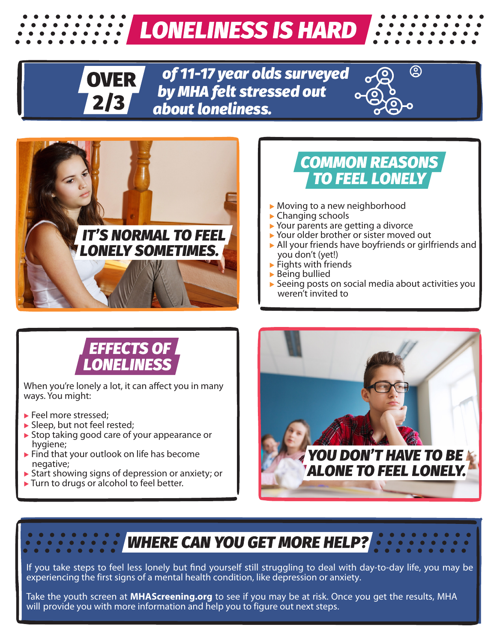# **LONELINESS IS HARD**



*of 11-17 year olds surveyed by MHA felt stressed out about loneliness.*





## **COMMON REASONS TO FEEL LONELY**

- ▶ Moving to a new neighborhood
- ▶ Changing schools
- ▶ Your parents are getting a divorce
- ▶ Your older brother or sister moved out
- ▶ All your friends have boyfriends or girlfriends and you don't (yet!)
- ▶ Fights with friends
- ▶ Being bullied
- ▶ Seeing posts on social media about activities you weren't invited to

## **EFFECTS OF LONELINESS**

When you're lonely a lot, it can affect you in many ways. You might:

- ▶ Feel more stressed:
- ▶ Sleep, but not feel rested;
- ▶ Stop taking good care of your appearance or hygiene;
- ▶ Find that your outlook on life has become negative;
- ▶ Start showing signs of depression or anxiety; or
- ▶ Turn to drugs or alcohol to feel better.



## **WHERE CAN YOU GET MORE HELP?**

If you take steps to feel less lonely but find yourself still struggling to deal with day-to-day life, you may be experiencing the first signs of a mental health condition, like depression or anxiety.

Take the youth screen at **[MHAScreening.org](https://screening.mentalhealthamerica.net/screening-tools)** to see if you may be at risk. Once you get the results, MHA will provide you with more information and help you to figure out next steps.